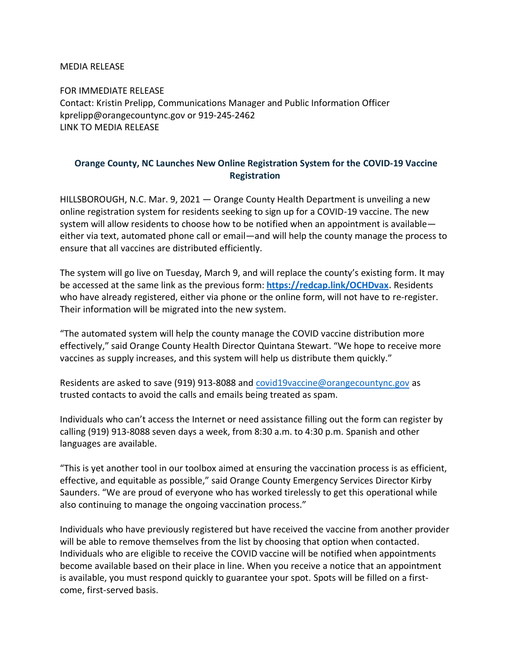MEDIA RELEASE

FOR IMMEDIATE RELEASE Contact: Kristin Prelipp, Communications Manager and Public Information Officer kprelipp@orangecountync.gov or 919-245-2462 [LINK TO MEDIA RELEASE](https://www.orangecountync.gov/DocumentCenter/View/15101/Orange-County-NC-Launches-New-Online-Registration-System-for-the-COVID-19-Vaccine-Registration-FINAL)

## **Orange County, NC Launches New Online Registration System for the COVID-19 Vaccine Registration**

HILLSBOROUGH, N.C. Mar. 9, 2021 ― Orange County Health Department is unveiling a new online registration system for residents seeking to sign up for a COVID-19 vaccine. The new system will allow residents to choose how to be notified when an appointment is available either via text, automated phone call or email—and will help the county manage the process to ensure that all vaccines are distributed efficiently.

The system will go live on Tuesday, March 9, and will replace the county's existing form. It may be accessed at the same link as the previous form: **[https://redcap.link/OCHDvax.](https://redcap.link/OCHDvax)** Residents who have already registered, either via phone or the online form, will not have to re-register. Their information will be migrated into the new system.

"The automated system will help the county manage the COVID vaccine distribution more effectively," said Orange County Health Director Quintana Stewart. "We hope to receive more vaccines as supply increases, and this system will help us distribute them quickly."

Residents are asked to save (919) 913-8088 and [covid19vaccine@orangecountync.gov](mailto:covid19vaccine@orangecountync.gov) as trusted contacts to avoid the calls and emails being treated as spam.

Individuals who can't access the Internet or need assistance filling out the form can register by calling (919) 913-8088 seven days a week, from 8:30 a.m. to 4:30 p.m. Spanish and other languages are available.

"This is yet another tool in our toolbox aimed at ensuring the vaccination process is as efficient, effective, and equitable as possible," said Orange County Emergency Services Director Kirby Saunders. "We are proud of everyone who has worked tirelessly to get this operational while also continuing to manage the ongoing vaccination process."

Individuals who have previously registered but have received the vaccine from another provider will be able to remove themselves from the list by choosing that option when contacted. Individuals who are eligible to receive the COVID vaccine will be notified when appointments become available based on their place in line. When you receive a notice that an appointment is available, you must respond quickly to guarantee your spot. Spots will be filled on a firstcome, first-served basis.